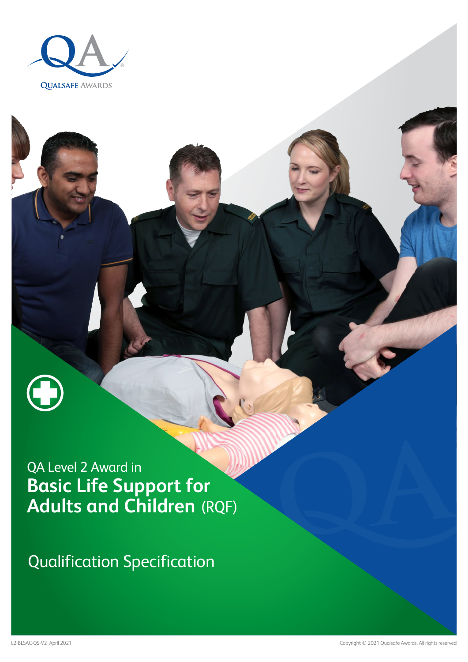



Qualification Specification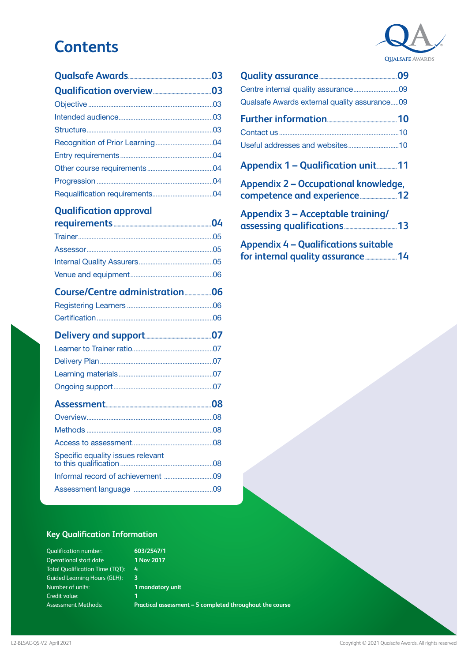## **Contents**

### **[Qualification approval](#page-3-0)**

| Specific equality issues relevant |  |
|-----------------------------------|--|
|                                   |  |
|                                   |  |

### **[Quality assurance...........................................................09](#page-8-0)** [Centre internal quality assurance...........................09](#page-8-0) [Qualsafe Awards external quality assurance.....09](#page-8-0) **[Further information.....................................................10](#page-9-0)** Contact us [.......................................................................10](#page-9-0) [Useful addresses and websites..............................10](#page-9-0) **[Appendix 1 – Qualification unit...............11](#page-10-0) [Appendix 2 – Occupational knowledge,](#page-11-0)  [competence and experience............................12](#page-11-0) [Appendix 3 – Acceptable training/](#page-12-0)**

| <b>Appendix 4 - Qualifications suitable</b> |  |
|---------------------------------------------|--|

**[for internal quality assurance........................14](#page-13-0)**

### **Key Qualification Information**

| <b>Qualification number:</b>           |
|----------------------------------------|
| Operational start date                 |
| <b>Total Qualification Time (TQT):</b> |
| <b>Guided Learning Hours (GLH):</b>    |
| Number of units:                       |
| Credit value:                          |
| <b>Assessment Methods:</b>             |

**603/2547/1 1 Nov 2017 4 3 1 mandatory unit 1**

**Practical assessment – 5 completed throughout the course**

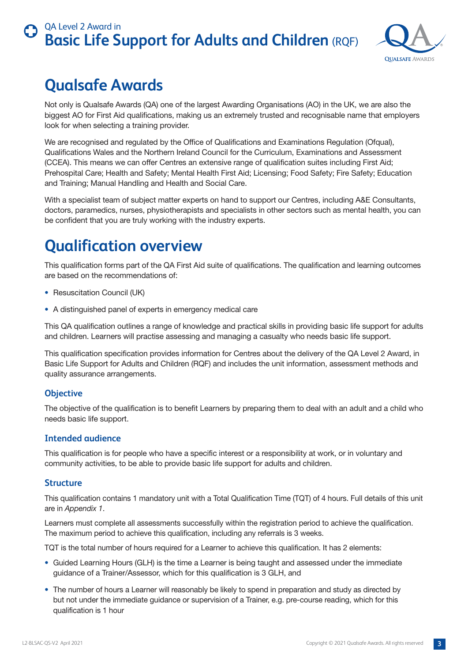

## <span id="page-2-0"></span>**Qualsafe Awards**

Not only is Qualsafe Awards (QA) one of the largest Awarding Organisations (AO) in the UK, we are also the biggest AO for First Aid qualifications, making us an extremely trusted and recognisable name that employers look for when selecting a training provider.

We are recognised and regulated by the Office of Qualifications and Examinations Regulation (Ofqual), Qualifications Wales and the Northern Ireland Council for the Curriculum, Examinations and Assessment (CCEA). This means we can offer Centres an extensive range of qualification suites including First Aid; Prehospital Care; Health and Safety; Mental Health First Aid; Licensing; Food Safety; Fire Safety; Education and Training; Manual Handling and Health and Social Care.

With a specialist team of subject matter experts on hand to support our Centres, including A&E Consultants, doctors, paramedics, nurses, physiotherapists and specialists in other sectors such as mental health, you can be confident that you are truly working with the industry experts.

# **Qualification overview**

This qualification forms part of the QA First Aid suite of qualifications. The qualification and learning outcomes are based on the recommendations of:

- Resuscitation Council (UK)
- A distinguished panel of experts in emergency medical care

This QA qualification outlines a range of knowledge and practical skills in providing basic life support for adults and children. Learners will practise assessing and managing a casualty who needs basic life support.

This qualification specification provides information for Centres about the delivery of the QA Level 2 Award, in Basic Life Support for Adults and Children (RQF) and includes the unit information, assessment methods and quality assurance arrangements.

### **Objective**

The objective of the qualification is to benefit Learners by preparing them to deal with an adult and a child who needs basic life support.

### **Intended audience**

This qualification is for people who have a specific interest or a responsibility at work, or in voluntary and community activities, to be able to provide basic life support for adults and children.

### **Structure**

This qualification contains 1 mandatory unit with a Total Qualification Time (TQT) of 4 hours. Full details of this unit are in *Appendix 1*.

Learners must complete all assessments successfully within the registration period to achieve the qualification. The maximum period to achieve this qualification, including any referrals is 3 weeks.

TQT is the total number of hours required for a Learner to achieve this qualification. It has 2 elements:

- Guided Learning Hours (GLH) is the time a Learner is being taught and assessed under the immediate guidance of a Trainer/Assessor, which for this qualification is 3 GLH, and
- The number of hours a Learner will reasonably be likely to spend in preparation and study as directed by but not under the immediate guidance or supervision of a Trainer, e.g. pre-course reading, which for this qualification is 1 hour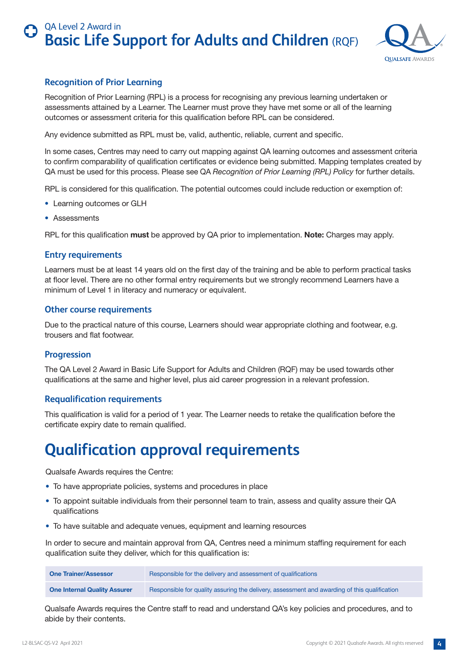

### <span id="page-3-0"></span>**Recognition of Prior Learning**

Recognition of Prior Learning (RPL) is a process for recognising any previous learning undertaken or assessments attained by a Learner. The Learner must prove they have met some or all of the learning outcomes or assessment criteria for this qualification before RPL can be considered.

Any evidence submitted as RPL must be, valid, authentic, reliable, current and specific.

In some cases, Centres may need to carry out mapping against QA learning outcomes and assessment criteria to confirm comparability of qualification certificates or evidence being submitted. Mapping templates created by QA must be used for this process. Please see QA *Recognition of Prior Learning (RPL) Policy* for further details.

RPL is considered for this qualification. The potential outcomes could include reduction or exemption of:

- Learning outcomes or GLH
- Assessments

RPL for this qualification **must** be approved by QA prior to implementation. **Note:** Charges may apply.

### **Entry requirements**

Learners must be at least 14 years old on the first day of the training and be able to perform practical tasks at floor level. There are no other formal entry requirements but we strongly recommend Learners have a minimum of Level 1 in literacy and numeracy or equivalent.

#### **Other course requirements**

Due to the practical nature of this course, Learners should wear appropriate clothing and footwear, e.g. trousers and flat footwear.

#### **Progression**

The QA Level 2 Award in Basic Life Support for Adults and Children (RQF) may be used towards other qualifications at the same and higher level, plus aid career progression in a relevant profession.

#### **Requalification requirements**

This qualification is valid for a period of 1 year. The Learner needs to retake the qualification before the certificate expiry date to remain qualified.

## **Qualification approval requirements**

Qualsafe Awards requires the Centre:

- To have appropriate policies, systems and procedures in place
- To appoint suitable individuals from their personnel team to train, assess and quality assure their QA qualifications
- To have suitable and adequate venues, equipment and learning resources

In order to secure and maintain approval from QA, Centres need a minimum staffing requirement for each qualification suite they deliver, which for this qualification is:

| <b>One Trainer/Assessor</b>         | Responsible for the delivery and assessment of qualifications                                |
|-------------------------------------|----------------------------------------------------------------------------------------------|
| <b>One Internal Quality Assurer</b> | Responsible for quality assuring the delivery, assessment and awarding of this qualification |

Qualsafe Awards requires the Centre staff to read and understand QA's key policies and procedures, and to abide by their contents.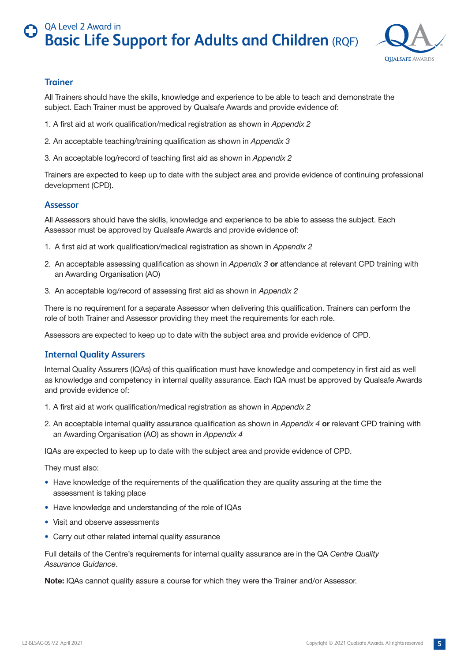

### <span id="page-4-0"></span>**Trainer**

All Trainers should have the skills, knowledge and experience to be able to teach and demonstrate the subject. Each Trainer must be approved by Qualsafe Awards and provide evidence of:

- 1. A first aid at work qualification/medical registration as shown in *Appendix 2*
- 2. An acceptable teaching/training qualification as shown in *Appendix 3*
- 3. An acceptable log/record of teaching first aid as shown in *Appendix 2*

Trainers are expected to keep up to date with the subject area and provide evidence of continuing professional development (CPD).

#### **Assessor**

All Assessors should have the skills, knowledge and experience to be able to assess the subject. Each Assessor must be approved by Qualsafe Awards and provide evidence of:

- 1. A first aid at work qualification/medical registration as shown in *Appendix 2*
- 2. An acceptable assessing qualification as shown in *Appendix 3* **or** attendance at relevant CPD training with an Awarding Organisation (AO)
- 3. An acceptable log/record of assessing first aid as shown in *Appendix 2*

There is no requirement for a separate Assessor when delivering this qualification. Trainers can perform the role of both Trainer and Assessor providing they meet the requirements for each role.

Assessors are expected to keep up to date with the subject area and provide evidence of CPD.

### **Internal Quality Assurers**

Internal Quality Assurers (IQAs) of this qualification must have knowledge and competency in first aid as well as knowledge and competency in internal quality assurance. Each IQA must be approved by Qualsafe Awards and provide evidence of:

- 1. A first aid at work qualification/medical registration as shown in *Appendix 2*
- 2. An acceptable internal quality assurance qualification as shown in *Appendix 4* **or** relevant CPD training with an Awarding Organisation (AO) as shown in *Appendix 4*

IQAs are expected to keep up to date with the subject area and provide evidence of CPD.

They must also:

- Have knowledge of the requirements of the qualification they are quality assuring at the time the assessment is taking place
- Have knowledge and understanding of the role of IQAs
- Visit and observe assessments
- Carry out other related internal quality assurance

Full details of the Centre's requirements for internal quality assurance are in the QA *Centre Quality Assurance Guidance*.

**Note:** IQAs cannot quality assure a course for which they were the Trainer and/or Assessor.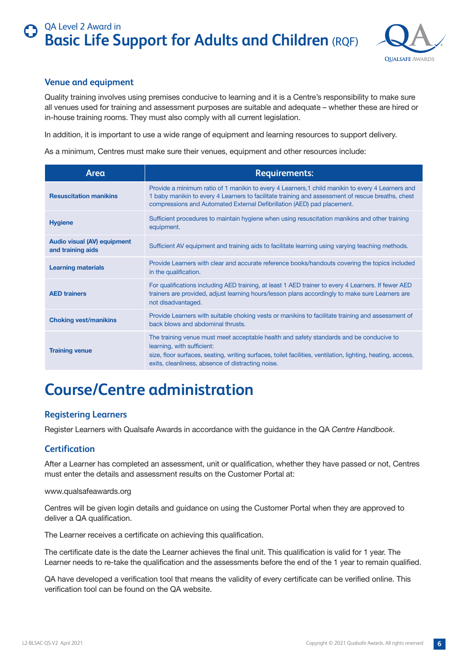

### <span id="page-5-0"></span>**Venue and equipment**

Quality training involves using premises conducive to learning and it is a Centre's responsibility to make sure all venues used for training and assessment purposes are suitable and adequate – whether these are hired or in-house training rooms. They must also comply with all current legislation.

In addition, it is important to use a wide range of equipment and learning resources to support delivery.

As a minimum, Centres must make sure their venues, equipment and other resources include:

| Area                                                    | <b>Requirements:</b>                                                                                                                                                                                                                                                                      |
|---------------------------------------------------------|-------------------------------------------------------------------------------------------------------------------------------------------------------------------------------------------------------------------------------------------------------------------------------------------|
| <b>Resuscitation manikins</b>                           | Provide a minimum ratio of 1 manikin to every 4 Learners, 1 child manikin to every 4 Learners and<br>1 baby manikin to every 4 Learners to facilitate training and assessment of rescue breaths, chest<br>compressions and Automated External Defibrillation (AED) pad placement.         |
| <b>Hygiene</b>                                          | Sufficient procedures to maintain hygiene when using resuscitation manikins and other training<br>equipment.                                                                                                                                                                              |
| <b>Audio visual (AV) equipment</b><br>and training aids | Sufficient AV equipment and training aids to facilitate learning using varying teaching methods.                                                                                                                                                                                          |
| <b>Learning materials</b>                               | Provide Learners with clear and accurate reference books/handouts covering the topics included<br>in the qualification.                                                                                                                                                                   |
| <b>AED trainers</b>                                     | For qualifications including AED training, at least 1 AED trainer to every 4 Learners. If fewer AED<br>trainers are provided, adjust learning hours/lesson plans accordingly to make sure Learners are<br>not disadvantaged.                                                              |
| <b>Choking vest/manikins</b>                            | Provide Learners with suitable choking vests or manikins to facilitate training and assessment of<br>back blows and abdominal thrusts.                                                                                                                                                    |
| <b>Training venue</b>                                   | The training venue must meet acceptable health and safety standards and be conducive to<br>learning, with sufficient:<br>size, floor surfaces, seating, writing surfaces, toilet facilities, ventilation, lighting, heating, access,<br>exits, cleanliness, absence of distracting noise. |

## **Course/Centre administration**

### **Registering Learners**

Register Learners with Qualsafe Awards in accordance with the guidance in the QA *Centre Handbook*.

### **Certification**

After a Learner has completed an assessment, unit or qualification, whether they have passed or not, Centres must enter the details and assessment results on the Customer Portal at:

#### www.qualsafeawards.org

Centres will be given login details and guidance on using the Customer Portal when they are approved to deliver a QA qualification.

The Learner receives a certificate on achieving this qualification.

The certificate date is the date the Learner achieves the final unit. This qualification is valid for 1 year. The Learner needs to re-take the qualification and the assessments before the end of the 1 year to remain qualified.

QA have developed a verification tool that means the validity of every certificate can be verified online. This verification tool can be found on the QA website.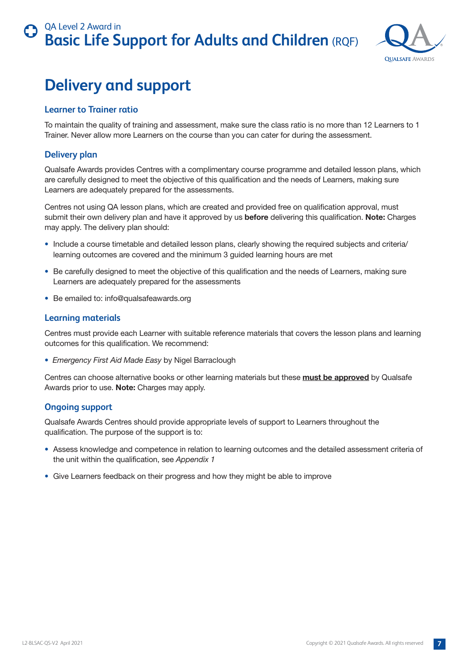

# <span id="page-6-0"></span>**Delivery and support**

### **Learner to Trainer ratio**

To maintain the quality of training and assessment, make sure the class ratio is no more than 12 Learners to 1 Trainer. Never allow more Learners on the course than you can cater for during the assessment.

### **Delivery plan**

Qualsafe Awards provides Centres with a complimentary course programme and detailed lesson plans, which are carefully designed to meet the objective of this qualification and the needs of Learners, making sure Learners are adequately prepared for the assessments.

Centres not using QA lesson plans, which are created and provided free on qualification approval, must submit their own delivery plan and have it approved by us **before** delivering this qualification. **Note:** Charges may apply. The delivery plan should:

- Include a course timetable and detailed lesson plans, clearly showing the required subjects and criteria/ learning outcomes are covered and the minimum 3 guided learning hours are met
- Be carefully designed to meet the objective of this qualification and the needs of Learners, making sure Learners are adequately prepared for the assessments
- Be emailed to: info@qualsafeawards.org

### **Learning materials**

Centres must provide each Learner with suitable reference materials that covers the lesson plans and learning outcomes for this qualification. We recommend:

• *Emergency First Aid Made Easy* by Nigel Barraclough

Centres can choose alternative books or other learning materials but these **must be approved** by Qualsafe Awards prior to use. **Note:** Charges may apply.

### **Ongoing support**

Qualsafe Awards Centres should provide appropriate levels of support to Learners throughout the qualification. The purpose of the support is to:

- Assess knowledge and competence in relation to learning outcomes and the detailed assessment criteria of the unit within the qualification, see *Appendix 1*
- Give Learners feedback on their progress and how they might be able to improve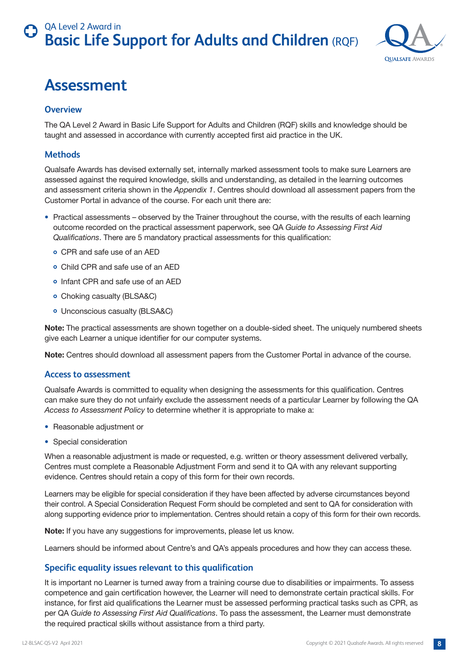

## <span id="page-7-0"></span>**Assessment**

### **Overview**

The QA Level 2 Award in Basic Life Support for Adults and Children (RQF) skills and knowledge should be taught and assessed in accordance with currently accepted first aid practice in the UK.

### **Methods**

Qualsafe Awards has devised externally set, internally marked assessment tools to make sure Learners are assessed against the required knowledge, skills and understanding, as detailed in the learning outcomes and assessment criteria shown in the *Appendix 1*. Centres should download all assessment papers from the Customer Portal in advance of the course. For each unit there are:

- Practical assessments observed by the Trainer throughout the course, with the results of each learning outcome recorded on the practical assessment paperwork, see QA *Guide to Assessing First Aid Qualifications*. There are 5 mandatory practical assessments for this qualification:
	- CPR and safe use of an AED
	- Child CPR and safe use of an AED
	- Infant CPR and safe use of an AED
	- Choking casualty (BLSA&C)
	- Unconscious casualty (BLSA&C)

**Note:** The practical assessments are shown together on a double-sided sheet. The uniquely numbered sheets give each Learner a unique identifier for our computer systems.

**Note:** Centres should download all assessment papers from the Customer Portal in advance of the course.

#### **Access to assessment**

Qualsafe Awards is committed to equality when designing the assessments for this qualification. Centres can make sure they do not unfairly exclude the assessment needs of a particular Learner by following the QA *Access to Assessment Policy* to determine whether it is appropriate to make a:

- Reasonable adjustment or
- Special consideration

When a reasonable adjustment is made or requested, e.g. written or theory assessment delivered verbally, Centres must complete a Reasonable Adjustment Form and send it to QA with any relevant supporting evidence. Centres should retain a copy of this form for their own records.

Learners may be eligible for special consideration if they have been affected by adverse circumstances beyond their control. A Special Consideration Request Form should be completed and sent to QA for consideration with along supporting evidence prior to implementation. Centres should retain a copy of this form for their own records.

**Note:** If you have any suggestions for improvements, please let us know.

Learners should be informed about Centre's and QA's appeals procedures and how they can access these.

### **Specific equality issues relevant to this qualification**

It is important no Learner is turned away from a training course due to disabilities or impairments. To assess competence and gain certification however, the Learner will need to demonstrate certain practical skills. For instance, for first aid qualifications the Learner must be assessed performing practical tasks such as CPR, as per QA *Guide to Assessing First Aid Qualifications*. To pass the assessment, the Learner must demonstrate the required practical skills without assistance from a third party.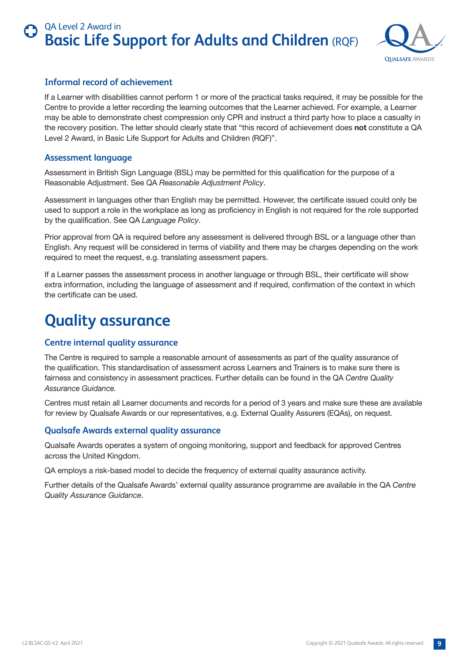

### <span id="page-8-0"></span>**Informal record of achievement**

If a Learner with disabilities cannot perform 1 or more of the practical tasks required, it may be possible for the Centre to provide a letter recording the learning outcomes that the Learner achieved. For example, a Learner may be able to demonstrate chest compression only CPR and instruct a third party how to place a casualty in the recovery position. The letter should clearly state that "this record of achievement does **not** constitute a QA Level 2 Award, in Basic Life Support for Adults and Children (RQF)".

### **Assessment language**

Assessment in British Sign Language (BSL) may be permitted for this qualification for the purpose of a Reasonable Adjustment. See QA *Reasonable Adjustment Policy*.

Assessment in languages other than English may be permitted. However, the certificate issued could only be used to support a role in the workplace as long as proficiency in English is not required for the role supported by the qualification. See QA *Language Policy*.

Prior approval from QA is required before any assessment is delivered through BSL or a language other than English. Any request will be considered in terms of viability and there may be charges depending on the work required to meet the request, e.g. translating assessment papers.

If a Learner passes the assessment process in another language or through BSL, their certificate will show extra information, including the language of assessment and if required, confirmation of the context in which the certificate can be used.

## **Quality assurance**

### **Centre internal quality assurance**

The Centre is required to sample a reasonable amount of assessments as part of the quality assurance of the qualification. This standardisation of assessment across Learners and Trainers is to make sure there is fairness and consistency in assessment practices. Further details can be found in the QA *Centre Quality Assurance Guidance.*

Centres must retain all Learner documents and records for a period of 3 years and make sure these are available for review by Qualsafe Awards or our representatives, e.g. External Quality Assurers (EQAs), on request.

### **Qualsafe Awards external quality assurance**

Qualsafe Awards operates a system of ongoing monitoring, support and feedback for approved Centres across the United Kingdom.

QA employs a risk-based model to decide the frequency of external quality assurance activity.

Further details of the Qualsafe Awards' external quality assurance programme are available in the QA *Centre Quality Assurance Guidance*.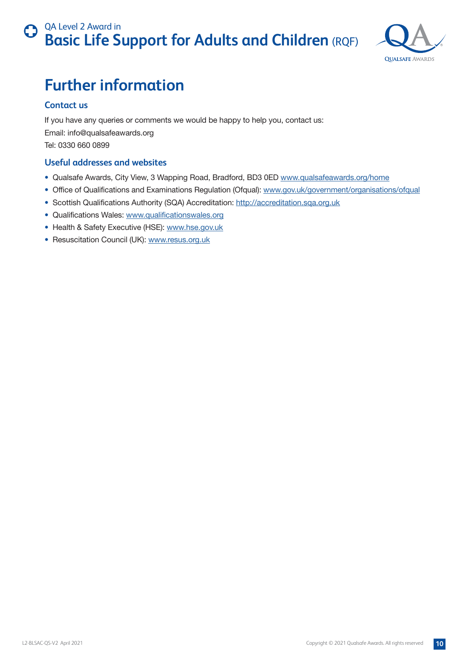

# <span id="page-9-0"></span>**Further information**

### **Contact us**

If you have any queries or comments we would be happy to help you, contact us: Email: info@qualsafeawards.org Tel: 0330 660 0899

### **Useful addresses and websites**

- Qualsafe Awards, City View, 3 Wapping Road, Bradford, BD3 0ED [www.qualsafeawards.org/home](http://www.qualsafeawards.org/home)
- Office of Qualifications and Examinations Regulation (Ofqual): [www.gov.uk/government/organisations/ofqual](http://www.gov.uk/government/organisations/ofqual)
- Scottish Qualifications Authority (SQA) Accreditation: http://accreditation.sqa.org.uk
- Qualifications Wales: www.qualificationswales.org
- Health & Safety Executive (HSE): [www.hse.gov.uk](http://www.hse.gov.uk)
- Resuscitation Council (UK): [www.resus.org.uk](http://www.resus.org.uk)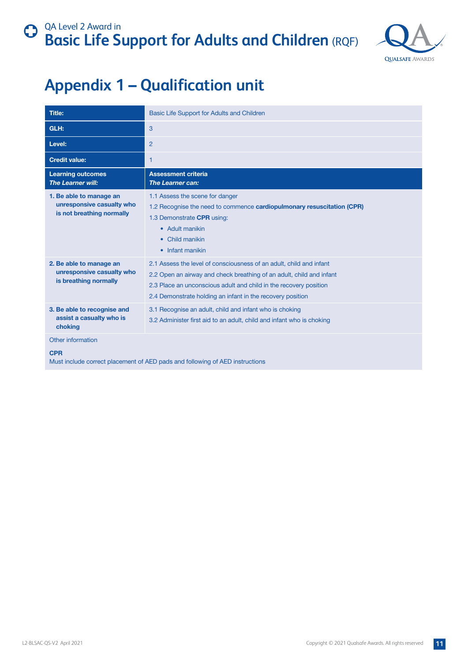

# <span id="page-10-0"></span>**Appendix 1 – Qualification unit**

| <b>Title:</b>                                                                     | Basic Life Support for Adults and Children                                                                                                                                                                                                                                     |
|-----------------------------------------------------------------------------------|--------------------------------------------------------------------------------------------------------------------------------------------------------------------------------------------------------------------------------------------------------------------------------|
| GLH:                                                                              | 3                                                                                                                                                                                                                                                                              |
| Level:                                                                            | $\overline{2}$                                                                                                                                                                                                                                                                 |
| <b>Credit value:</b>                                                              | 1                                                                                                                                                                                                                                                                              |
| <b>Learning outcomes</b><br>The Learner will:                                     | <b>Assessment criteria</b><br><b>The Learner can:</b>                                                                                                                                                                                                                          |
| 1. Be able to manage an<br>unresponsive casualty who<br>is not breathing normally | 1.1 Assess the scene for danger<br>1.2 Recognise the need to commence <b>cardiopulmonary resuscitation (CPR)</b><br>1.3 Demonstrate CPR using:<br>• Adult manikin<br>• Child manikin<br>• Infant manikin                                                                       |
| 2. Be able to manage an<br>unresponsive casualty who<br>is breathing normally     | 2.1 Assess the level of consciousness of an adult, child and infant<br>2.2 Open an airway and check breathing of an adult, child and infant<br>2.3 Place an unconscious adult and child in the recovery position<br>2.4 Demonstrate holding an infant in the recovery position |
| 3. Be able to recognise and<br>assist a casualty who is<br>choking                | 3.1 Recognise an adult, child and infant who is choking<br>3.2 Administer first aid to an adult, child and infant who is choking                                                                                                                                               |
| Other information<br><b>CPR</b>                                                   | Must include correct placement of AED pads and following of AED instructions                                                                                                                                                                                                   |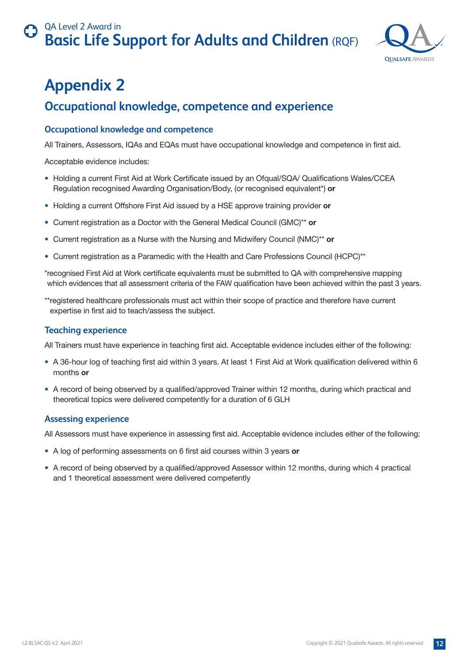

# <span id="page-11-0"></span>**Appendix 2**

### **Occupational knowledge, competence and experience**

### **Occupational knowledge and competence**

All Trainers, Assessors, IQAs and EQAs must have occupational knowledge and competence in first aid.

Acceptable evidence includes:

- Holding a current First Aid at Work Certificate issued by an Ofqual/SQA/ Qualifications Wales/CCEA Regulation recognised Awarding Organisation/Body, (or recognised equivalent\*) **or**
- Holding a current Offshore First Aid issued by a HSE approve training provider **or**
- Current registration as a Doctor with the General Medical Council (GMC)\*\* **or**
- Current registration as a Nurse with the Nursing and Midwifery Council (NMC)\*\* **or**
- Current registration as a Paramedic with the Health and Care Professions Council (HCPC)\*\*

\*recognised First Aid at Work certificate equivalents must be submitted to QA with comprehensive mapping which evidences that all assessment criteria of the FAW qualification have been achieved within the past 3 years.

\*\*registered healthcare professionals must act within their scope of practice and therefore have current expertise in first aid to teach/assess the subject.

### **Teaching experience**

All Trainers must have experience in teaching first aid. Acceptable evidence includes either of the following:

- A 36-hour log of teaching first aid within 3 years. At least 1 First Aid at Work qualification delivered within 6 months **or**
- A record of being observed by a qualified/approved Trainer within 12 months, during which practical and theoretical topics were delivered competently for a duration of 6 GLH

### **Assessing experience**

All Assessors must have experience in assessing first aid. Acceptable evidence includes either of the following:

- A log of performing assessments on 6 first aid courses within 3 years **or**
- A record of being observed by a qualified/approved Assessor within 12 months, during which 4 practical and 1 theoretical assessment were delivered competently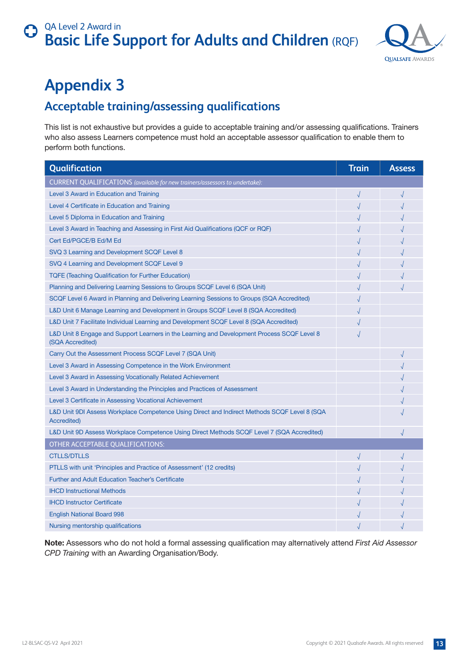

# <span id="page-12-0"></span>**Appendix 3**

### **Acceptable training/assessing qualifications**

This list is not exhaustive but provides a guide to acceptable training and/or assessing qualifications. Trainers who also assess Learners competence must hold an acceptable assessor qualification to enable them to perform both functions.

| Qualification                                                                                                   |  | <b>Assess</b> |
|-----------------------------------------------------------------------------------------------------------------|--|---------------|
| CURRENT QUALIFICATIONS (available for new trainers/assessors to undertake):                                     |  |               |
| Level 3 Award in Education and Training                                                                         |  | $\sqrt{ }$    |
| Level 4 Certificate in Education and Training                                                                   |  |               |
| Level 5 Diploma in Education and Training                                                                       |  |               |
| Level 3 Award in Teaching and Assessing in First Aid Qualifications (QCF or RQF)                                |  |               |
| Cert Ed/PGCE/B Ed/M Ed                                                                                          |  |               |
| SVQ 3 Learning and Development SCQF Level 8                                                                     |  |               |
| SVQ 4 Learning and Development SCQF Level 9                                                                     |  |               |
| <b>TQFE (Teaching Qualification for Further Education)</b>                                                      |  |               |
| Planning and Delivering Learning Sessions to Groups SCQF Level 6 (SQA Unit)                                     |  |               |
| SCQF Level 6 Award in Planning and Delivering Learning Sessions to Groups (SQA Accredited)                      |  |               |
| L&D Unit 6 Manage Learning and Development in Groups SCQF Level 8 (SQA Accredited)                              |  |               |
| L&D Unit 7 Facilitate Individual Learning and Development SCQF Level 8 (SQA Accredited)                         |  |               |
| L&D Unit 8 Engage and Support Learners in the Learning and Development Process SCQF Level 8<br>(SQA Accredited) |  |               |
| Carry Out the Assessment Process SCQF Level 7 (SQA Unit)                                                        |  | $\sqrt{ }$    |
| Level 3 Award in Assessing Competence in the Work Environment                                                   |  |               |
| Level 3 Award in Assessing Vocationally Related Achievement                                                     |  |               |
| Level 3 Award in Understanding the Principles and Practices of Assessment                                       |  |               |
| Level 3 Certificate in Assessing Vocational Achievement                                                         |  |               |
| L&D Unit 9DI Assess Workplace Competence Using Direct and Indirect Methods SCQF Level 8 (SQA<br>Accredited)     |  |               |
| L&D Unit 9D Assess Workplace Competence Using Direct Methods SCQF Level 7 (SQA Accredited)                      |  |               |
| OTHER ACCEPTABLE QUALIFICATIONS:                                                                                |  |               |
| <b>CTLLS/DTLLS</b>                                                                                              |  |               |
| PTLLS with unit 'Principles and Practice of Assessment' (12 credits)                                            |  |               |
| <b>Further and Adult Education Teacher's Certificate</b>                                                        |  |               |
| <b>IHCD Instructional Methods</b>                                                                               |  |               |
| <b>IHCD Instructor Certificate</b>                                                                              |  |               |
| <b>English National Board 998</b>                                                                               |  |               |
| Nursing mentorship qualifications                                                                               |  |               |

**Note:** Assessors who do not hold a formal assessing qualification may alternatively attend *First Aid Assessor CPD Training* with an Awarding Organisation/Body.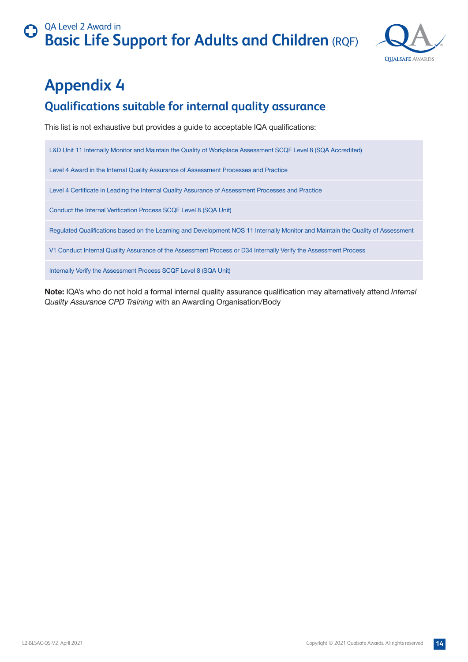

# <span id="page-13-0"></span>**Appendix 4**

### **Qualifications suitable for internal quality assurance**

This list is not exhaustive but provides a guide to acceptable IQA qualifications:

L&D Unit 11 Internally Monitor and Maintain the Quality of Workplace Assessment SCQF Level 8 (SQA Accredited)

Level 4 Award in the Internal Quality Assurance of Assessment Processes and Practice

Level 4 Certificate in Leading the Internal Quality Assurance of Assessment Processes and Practice

Conduct the Internal Verification Process SCQF Level 8 (SQA Unit)

Regulated Qualifications based on the Learning and Development NOS 11 Internally Monitor and Maintain the Quality of Assessment

V1 Conduct Internal Quality Assurance of the Assessment Process or D34 Internally Verify the Assessment Process

Internally Verify the Assessment Process SCQF Level 8 (SQA Unit)

**Note:** IQA's who do not hold a formal internal quality assurance qualification may alternatively attend *Internal Quality Assurance CPD Training* with an Awarding Organisation/Body